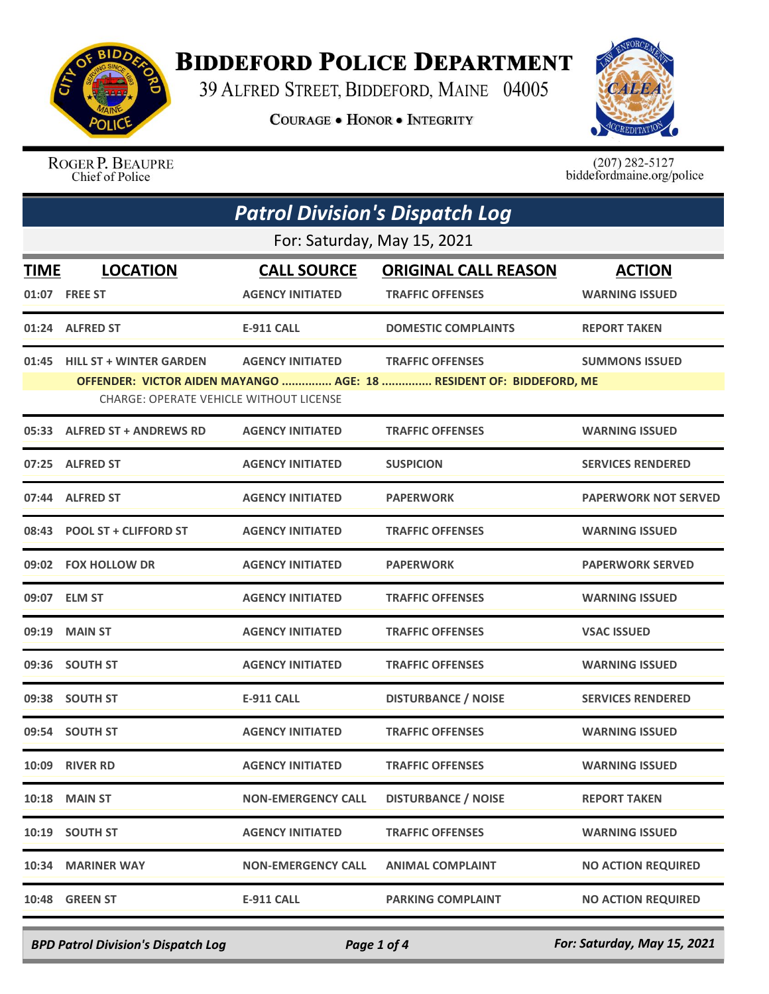

## **BIDDEFORD POLICE DEPARTMENT**

39 ALFRED STREET, BIDDEFORD, MAINE 04005

**COURAGE . HONOR . INTEGRITY** 



ROGER P. BEAUPRE Chief of Police

 $(207)$  282-5127<br>biddefordmaine.org/police

| <b>Patrol Division's Dispatch Log</b> |                                                                                 |                                               |                                                                                                |                                        |  |  |
|---------------------------------------|---------------------------------------------------------------------------------|-----------------------------------------------|------------------------------------------------------------------------------------------------|----------------------------------------|--|--|
|                                       | For: Saturday, May 15, 2021                                                     |                                               |                                                                                                |                                        |  |  |
| TIME                                  | <b>LOCATION</b><br>01:07 FREE ST                                                | <b>CALL SOURCE</b><br><b>AGENCY INITIATED</b> | <b>ORIGINAL CALL REASON</b><br><b>TRAFFIC OFFENSES</b>                                         | <b>ACTION</b><br><b>WARNING ISSUED</b> |  |  |
|                                       | 01:24 ALFRED ST                                                                 | <b>E-911 CALL</b>                             | <b>DOMESTIC COMPLAINTS</b>                                                                     | <b>REPORT TAKEN</b>                    |  |  |
|                                       | 01:45 HILL ST + WINTER GARDEN<br><b>CHARGE: OPERATE VEHICLE WITHOUT LICENSE</b> | <b>AGENCY INITIATED</b>                       | <b>TRAFFIC OFFENSES</b><br>OFFENDER: VICTOR AIDEN MAYANGO  AGE: 18  RESIDENT OF: BIDDEFORD, ME | <b>SUMMONS ISSUED</b>                  |  |  |
|                                       | 05:33 ALFRED ST + ANDREWS RD                                                    | <b>AGENCY INITIATED</b>                       | <b>TRAFFIC OFFENSES</b>                                                                        | <b>WARNING ISSUED</b>                  |  |  |
|                                       | 07:25 ALFRED ST                                                                 | <b>AGENCY INITIATED</b>                       | <b>SUSPICION</b>                                                                               | <b>SERVICES RENDERED</b>               |  |  |
|                                       | 07:44 ALFRED ST                                                                 | <b>AGENCY INITIATED</b>                       | <b>PAPERWORK</b>                                                                               | <b>PAPERWORK NOT SERVED</b>            |  |  |
|                                       | 08:43 POOL ST + CLIFFORD ST                                                     | <b>AGENCY INITIATED</b>                       | <b>TRAFFIC OFFENSES</b>                                                                        | <b>WARNING ISSUED</b>                  |  |  |
|                                       | 09:02 FOX HOLLOW DR                                                             | <b>AGENCY INITIATED</b>                       | <b>PAPERWORK</b>                                                                               | <b>PAPERWORK SERVED</b>                |  |  |
|                                       | 09:07 ELM ST                                                                    | <b>AGENCY INITIATED</b>                       | <b>TRAFFIC OFFENSES</b>                                                                        | <b>WARNING ISSUED</b>                  |  |  |
| 09:19                                 | <b>MAIN ST</b>                                                                  | <b>AGENCY INITIATED</b>                       | <b>TRAFFIC OFFENSES</b>                                                                        | <b>VSAC ISSUED</b>                     |  |  |
|                                       | 09:36 SOUTH ST                                                                  | <b>AGENCY INITIATED</b>                       | <b>TRAFFIC OFFENSES</b>                                                                        | <b>WARNING ISSUED</b>                  |  |  |
|                                       | 09:38 SOUTH ST                                                                  | <b>E-911 CALL</b>                             | <b>DISTURBANCE / NOISE</b>                                                                     | <b>SERVICES RENDERED</b>               |  |  |
|                                       | 09:54 SOUTH ST                                                                  | <b>AGENCY INITIATED</b>                       | <b>TRAFFIC OFFENSES</b>                                                                        | <b>WARNING ISSUED</b>                  |  |  |
|                                       | <b>10:09 RIVER RD</b>                                                           | <b>AGENCY INITIATED</b>                       | <b>TRAFFIC OFFENSES</b>                                                                        | <b>WARNING ISSUED</b>                  |  |  |
| 10:18                                 | <b>MAIN ST</b>                                                                  | <b>NON-EMERGENCY CALL</b>                     | <b>DISTURBANCE / NOISE</b>                                                                     | <b>REPORT TAKEN</b>                    |  |  |
| 10:19                                 | <b>SOUTH ST</b>                                                                 | <b>AGENCY INITIATED</b>                       | <b>TRAFFIC OFFENSES</b>                                                                        | <b>WARNING ISSUED</b>                  |  |  |
| 10:34                                 | <b>MARINER WAY</b>                                                              | <b>NON-EMERGENCY CALL</b>                     | <b>ANIMAL COMPLAINT</b>                                                                        | <b>NO ACTION REQUIRED</b>              |  |  |
| 10:48                                 | <b>GREEN ST</b>                                                                 | <b>E-911 CALL</b>                             | <b>PARKING COMPLAINT</b>                                                                       | <b>NO ACTION REQUIRED</b>              |  |  |

*BPD Patrol Division's Dispatch Log Page 1 of 4 For: Saturday, May 15, 2021*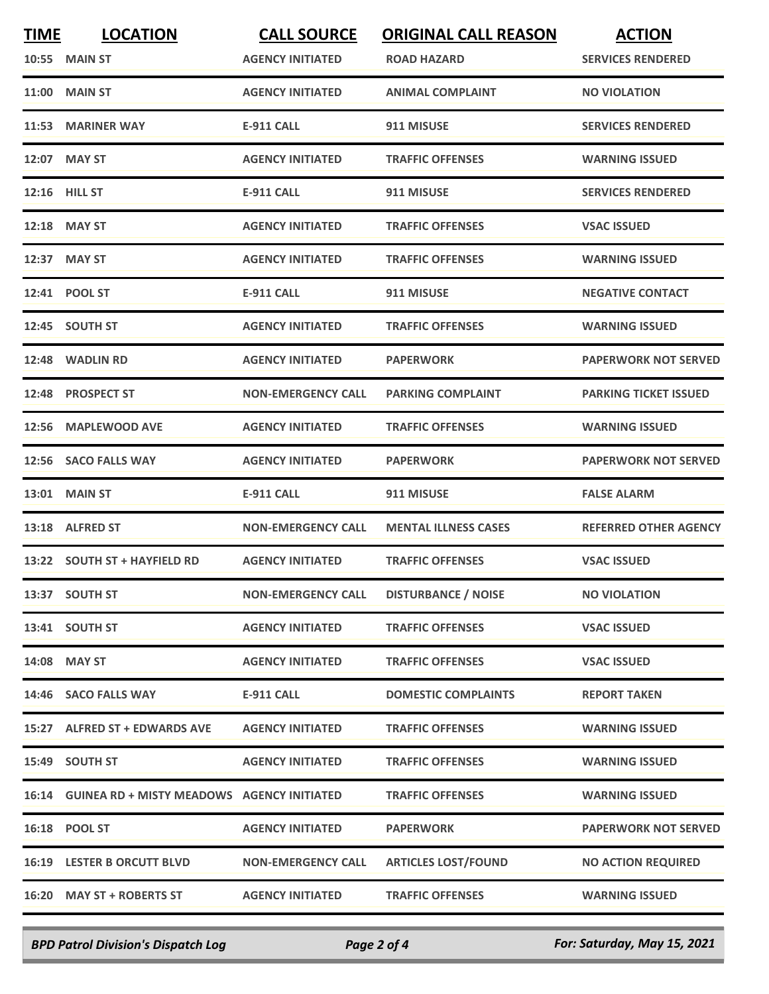| <b>TIME</b> | <b>LOCATION</b>                                  | <b>CALL SOURCE</b>        | <b>ORIGINAL CALL REASON</b> | <b>ACTION</b>                |
|-------------|--------------------------------------------------|---------------------------|-----------------------------|------------------------------|
|             | 10:55 MAIN ST                                    | <b>AGENCY INITIATED</b>   | ROAD HAZARD                 | <b>SERVICES RENDERED</b>     |
| 11:00       | <b>MAIN ST</b>                                   | <b>AGENCY INITIATED</b>   | <b>ANIMAL COMPLAINT</b>     | <b>NO VIOLATION</b>          |
|             | 11:53 MARINER WAY                                | <b>E-911 CALL</b>         | 911 MISUSE                  | <b>SERVICES RENDERED</b>     |
|             | 12:07 MAY ST                                     | <b>AGENCY INITIATED</b>   | <b>TRAFFIC OFFENSES</b>     | <b>WARNING ISSUED</b>        |
|             | 12:16 HILL ST                                    | <b>E-911 CALL</b>         | 911 MISUSE                  | <b>SERVICES RENDERED</b>     |
|             | 12:18 MAY ST                                     | <b>AGENCY INITIATED</b>   | <b>TRAFFIC OFFENSES</b>     | <b>VSAC ISSUED</b>           |
|             | 12:37 MAY ST                                     | <b>AGENCY INITIATED</b>   | <b>TRAFFIC OFFENSES</b>     | <b>WARNING ISSUED</b>        |
|             | 12:41 POOL ST                                    | <b>E-911 CALL</b>         | 911 MISUSE                  | <b>NEGATIVE CONTACT</b>      |
|             | 12:45 SOUTH ST                                   | <b>AGENCY INITIATED</b>   | <b>TRAFFIC OFFENSES</b>     | <b>WARNING ISSUED</b>        |
|             | 12:48 WADLIN RD                                  | <b>AGENCY INITIATED</b>   | <b>PAPERWORK</b>            | <b>PAPERWORK NOT SERVED</b>  |
|             | 12:48 PROSPECT ST                                | <b>NON-EMERGENCY CALL</b> | <b>PARKING COMPLAINT</b>    | <b>PARKING TICKET ISSUED</b> |
| 12:56       | <b>MAPLEWOOD AVE</b>                             | <b>AGENCY INITIATED</b>   | <b>TRAFFIC OFFENSES</b>     | <b>WARNING ISSUED</b>        |
| 12:56       | <b>SACO FALLS WAY</b>                            | <b>AGENCY INITIATED</b>   | <b>PAPERWORK</b>            | <b>PAPERWORK NOT SERVED</b>  |
|             | <b>13:01 MAIN ST</b>                             | <b>E-911 CALL</b>         | 911 MISUSE                  | <b>FALSE ALARM</b>           |
|             | 13:18 ALFRED ST                                  | <b>NON-EMERGENCY CALL</b> | <b>MENTAL ILLNESS CASES</b> | <b>REFERRED OTHER AGENCY</b> |
|             | 13:22 SOUTH ST + HAYFIELD RD                     | <b>AGENCY INITIATED</b>   | <b>TRAFFIC OFFENSES</b>     | <b>VSAC ISSUED</b>           |
|             | 13:37 SOUTH ST                                   | <b>NON-EMERGENCY CALL</b> | <b>DISTURBANCE / NOISE</b>  | <b>NO VIOLATION</b>          |
|             | 13:41 SOUTH ST                                   | <b>AGENCY INITIATED</b>   | <b>TRAFFIC OFFENSES</b>     | <b>VSAC ISSUED</b>           |
|             | 14:08 MAY ST                                     | <b>AGENCY INITIATED</b>   | <b>TRAFFIC OFFENSES</b>     | <b>VSAC ISSUED</b>           |
|             | 14:46 SACO FALLS WAY                             | <b>E-911 CALL</b>         | <b>DOMESTIC COMPLAINTS</b>  | <b>REPORT TAKEN</b>          |
|             | 15:27 ALFRED ST + EDWARDS AVE                    | <b>AGENCY INITIATED</b>   | <b>TRAFFIC OFFENSES</b>     | <b>WARNING ISSUED</b>        |
|             | 15:49 SOUTH ST                                   | <b>AGENCY INITIATED</b>   | <b>TRAFFIC OFFENSES</b>     | <b>WARNING ISSUED</b>        |
|             | 16:14 GUINEA RD + MISTY MEADOWS AGENCY INITIATED |                           | <b>TRAFFIC OFFENSES</b>     | <b>WARNING ISSUED</b>        |
|             | 16:18 POOL ST                                    | <b>AGENCY INITIATED</b>   | <b>PAPERWORK</b>            | <b>PAPERWORK NOT SERVED</b>  |
|             | <b>16:19 LESTER B ORCUTT BLVD</b>                | <b>NON-EMERGENCY CALL</b> | <b>ARTICLES LOST/FOUND</b>  | <b>NO ACTION REQUIRED</b>    |
|             | 16:20 MAY ST + ROBERTS ST                        | <b>AGENCY INITIATED</b>   | <b>TRAFFIC OFFENSES</b>     | <b>WARNING ISSUED</b>        |
|             |                                                  |                           |                             |                              |

*BPD Patrol Division's Dispatch Log Page 2 of 4 For: Saturday, May 15, 2021*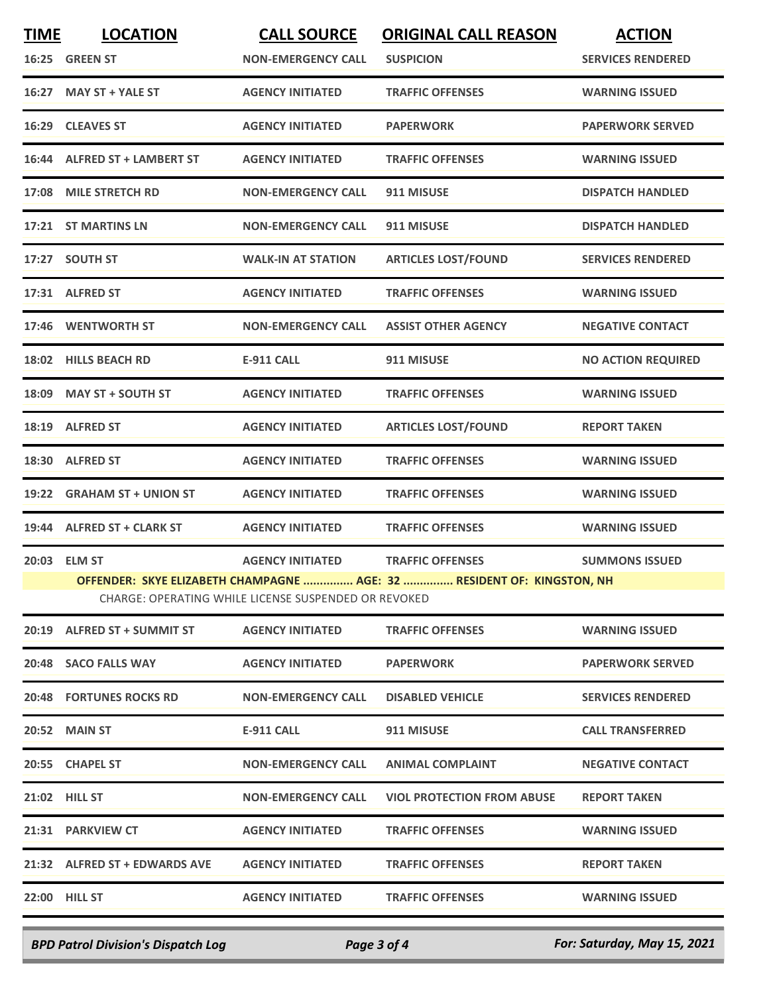| <b>TIME</b>                                          | <b>LOCATION</b>                                                        | <b>CALL SOURCE</b>        | <b>ORIGINAL CALL REASON</b>       | <b>ACTION</b>             |  |
|------------------------------------------------------|------------------------------------------------------------------------|---------------------------|-----------------------------------|---------------------------|--|
|                                                      | 16:25 GREEN ST                                                         | <b>NON-EMERGENCY CALL</b> | <b>SUSPICION</b>                  | <b>SERVICES RENDERED</b>  |  |
|                                                      | 16:27 MAY ST + YALE ST                                                 | <b>AGENCY INITIATED</b>   | <b>TRAFFIC OFFENSES</b>           | <b>WARNING ISSUED</b>     |  |
|                                                      | 16:29 CLEAVES ST                                                       | <b>AGENCY INITIATED</b>   | <b>PAPERWORK</b>                  | <b>PAPERWORK SERVED</b>   |  |
|                                                      | 16:44 ALFRED ST + LAMBERT ST                                           | <b>AGENCY INITIATED</b>   | <b>TRAFFIC OFFENSES</b>           | <b>WARNING ISSUED</b>     |  |
|                                                      | 17:08 MILE STRETCH RD                                                  | <b>NON-EMERGENCY CALL</b> | 911 MISUSE                        | <b>DISPATCH HANDLED</b>   |  |
|                                                      | 17:21 ST MARTINS LN                                                    | <b>NON-EMERGENCY CALL</b> | 911 MISUSE                        | <b>DISPATCH HANDLED</b>   |  |
|                                                      | 17:27 SOUTH ST                                                         | <b>WALK-IN AT STATION</b> | <b>ARTICLES LOST/FOUND</b>        | <b>SERVICES RENDERED</b>  |  |
|                                                      | 17:31 ALFRED ST                                                        | <b>AGENCY INITIATED</b>   | <b>TRAFFIC OFFENSES</b>           | <b>WARNING ISSUED</b>     |  |
|                                                      | 17:46 WENTWORTH ST                                                     | <b>NON-EMERGENCY CALL</b> | <b>ASSIST OTHER AGENCY</b>        | <b>NEGATIVE CONTACT</b>   |  |
|                                                      | 18:02 HILLS BEACH RD                                                   | <b>E-911 CALL</b>         | 911 MISUSE                        | <b>NO ACTION REQUIRED</b> |  |
|                                                      | 18:09 MAY ST + SOUTH ST                                                | <b>AGENCY INITIATED</b>   | <b>TRAFFIC OFFENSES</b>           | <b>WARNING ISSUED</b>     |  |
|                                                      | 18:19 ALFRED ST                                                        | <b>AGENCY INITIATED</b>   | <b>ARTICLES LOST/FOUND</b>        | <b>REPORT TAKEN</b>       |  |
|                                                      | 18:30 ALFRED ST                                                        | <b>AGENCY INITIATED</b>   | <b>TRAFFIC OFFENSES</b>           | <b>WARNING ISSUED</b>     |  |
|                                                      | 19:22 GRAHAM ST + UNION ST                                             | <b>AGENCY INITIATED</b>   | <b>TRAFFIC OFFENSES</b>           | <b>WARNING ISSUED</b>     |  |
|                                                      | 19:44 ALFRED ST + CLARK ST                                             | <b>AGENCY INITIATED</b>   | <b>TRAFFIC OFFENSES</b>           | <b>WARNING ISSUED</b>     |  |
|                                                      | 20:03 ELM ST                                                           | <b>AGENCY INITIATED</b>   | <b>TRAFFIC OFFENSES</b>           | <b>SUMMONS ISSUED</b>     |  |
|                                                      | OFFENDER: SKYE ELIZABETH CHAMPAGNE  AGE: 32  RESIDENT OF: KINGSTON, NH |                           |                                   |                           |  |
| CHARGE: OPERATING WHILE LICENSE SUSPENDED OR REVOKED |                                                                        |                           |                                   |                           |  |
|                                                      | 20:19 ALFRED ST + SUMMIT ST                                            | <b>AGENCY INITIATED</b>   | <b>TRAFFIC OFFENSES</b>           | <b>WARNING ISSUED</b>     |  |
|                                                      | 20:48 SACO FALLS WAY                                                   | <b>AGENCY INITIATED</b>   | <b>PAPERWORK</b>                  | <b>PAPERWORK SERVED</b>   |  |
|                                                      | <b>20:48 FORTUNES ROCKS RD</b>                                         | <b>NON-EMERGENCY CALL</b> | <b>DISABLED VEHICLE</b>           | <b>SERVICES RENDERED</b>  |  |
|                                                      | <b>20:52 MAIN ST</b>                                                   | E-911 CALL                | 911 MISUSE                        | <b>CALL TRANSFERRED</b>   |  |
|                                                      | 20:55 CHAPEL ST                                                        | <b>NON-EMERGENCY CALL</b> | <b>ANIMAL COMPLAINT</b>           | <b>NEGATIVE CONTACT</b>   |  |
|                                                      | 21:02 HILL ST                                                          | <b>NON-EMERGENCY CALL</b> | <b>VIOL PROTECTION FROM ABUSE</b> | <b>REPORT TAKEN</b>       |  |
|                                                      | 21:31 PARKVIEW CT                                                      | <b>AGENCY INITIATED</b>   | <b>TRAFFIC OFFENSES</b>           | <b>WARNING ISSUED</b>     |  |
|                                                      | 21:32 ALFRED ST + EDWARDS AVE                                          | <b>AGENCY INITIATED</b>   | <b>TRAFFIC OFFENSES</b>           | <b>REPORT TAKEN</b>       |  |
|                                                      | <b>22:00 HILL ST</b>                                                   | <b>AGENCY INITIATED</b>   | <b>TRAFFIC OFFENSES</b>           | <b>WARNING ISSUED</b>     |  |
|                                                      |                                                                        |                           |                                   |                           |  |

*BPD Patrol Division's Dispatch Log Page 3 of 4 For: Saturday, May 15, 2021*